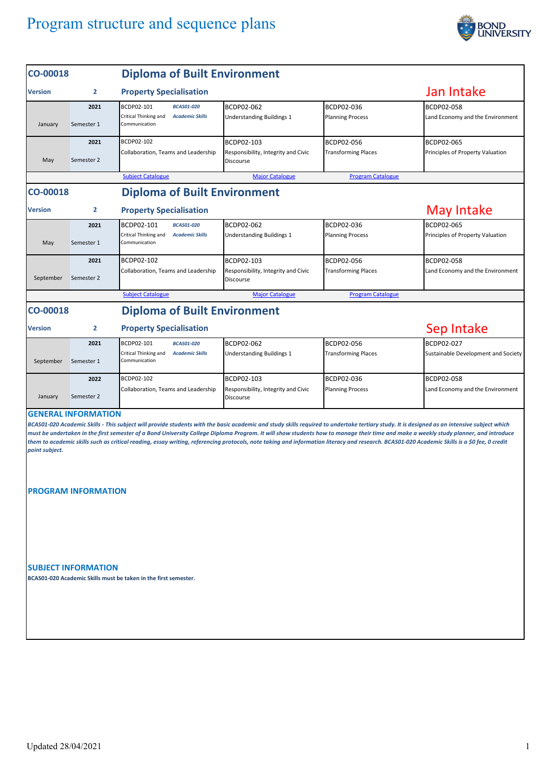## Program structure and sequence plans



| CO-00018                                                                                                                                                                                                       |                            | <b>Diploma of Built Environment</b>                                                                                                                                                         |                                                  |                            |                                     |  |  |  |  |
|----------------------------------------------------------------------------------------------------------------------------------------------------------------------------------------------------------------|----------------------------|---------------------------------------------------------------------------------------------------------------------------------------------------------------------------------------------|--------------------------------------------------|----------------------------|-------------------------------------|--|--|--|--|
| <b>Version</b>                                                                                                                                                                                                 | $\overline{2}$             | <b>Property Specialisation</b>                                                                                                                                                              |                                                  |                            | Jan Intake                          |  |  |  |  |
|                                                                                                                                                                                                                | 2021                       | BCDP02-101<br><b>BCAS01-020</b>                                                                                                                                                             | BCDP02-062                                       | BCDP02-036                 | BCDP02-058                          |  |  |  |  |
|                                                                                                                                                                                                                |                            | Critical Thinking and<br><b>Academic Skills</b>                                                                                                                                             | Understanding Buildings 1                        | <b>Planning Process</b>    | Land Economy and the Environment    |  |  |  |  |
| January                                                                                                                                                                                                        | Semester 1                 | Communication                                                                                                                                                                               |                                                  |                            |                                     |  |  |  |  |
|                                                                                                                                                                                                                | 2021                       | BCDP02-102                                                                                                                                                                                  | BCDP02-103                                       | BCDP02-056                 | BCDP02-065                          |  |  |  |  |
| May                                                                                                                                                                                                            | Semester 2                 | Collaboration, Teams and Leadership                                                                                                                                                         | Responsibility, Integrity and Civic<br>Discourse | <b>Transforming Places</b> | Principles of Property Valuation    |  |  |  |  |
|                                                                                                                                                                                                                |                            |                                                                                                                                                                                             |                                                  |                            |                                     |  |  |  |  |
|                                                                                                                                                                                                                |                            | <b>Subject Catalogue</b>                                                                                                                                                                    | <b>Major Catalogue</b>                           | <b>Program Catalogue</b>   |                                     |  |  |  |  |
| <b>Diploma of Built Environment</b><br>CO-00018                                                                                                                                                                |                            |                                                                                                                                                                                             |                                                  |                            |                                     |  |  |  |  |
| <b>Version</b>                                                                                                                                                                                                 | 2                          | <b>Property Specialisation</b>                                                                                                                                                              |                                                  |                            | May Intake                          |  |  |  |  |
|                                                                                                                                                                                                                | 2021                       | BCDP02-101<br><b>BCAS01-020</b>                                                                                                                                                             | BCDP02-062                                       | BCDP02-036                 | <b>BCDP02-065</b>                   |  |  |  |  |
|                                                                                                                                                                                                                |                            | Critical Thinking and<br><b>Academic Skills</b>                                                                                                                                             | Understanding Buildings 1                        | <b>Planning Process</b>    | Principles of Property Valuation    |  |  |  |  |
| May                                                                                                                                                                                                            | Semester 1                 | Communication                                                                                                                                                                               |                                                  |                            |                                     |  |  |  |  |
|                                                                                                                                                                                                                | 2021                       | BCDP02-102                                                                                                                                                                                  | BCDP02-103                                       | BCDP02-056                 | <b>BCDP02-058</b>                   |  |  |  |  |
|                                                                                                                                                                                                                |                            | Collaboration, Teams and Leadership                                                                                                                                                         | Responsibility, Integrity and Civic              | <b>Transforming Places</b> | Land Economy and the Environment    |  |  |  |  |
| September                                                                                                                                                                                                      | Semester 2                 |                                                                                                                                                                                             | Discourse                                        |                            |                                     |  |  |  |  |
|                                                                                                                                                                                                                |                            | <b>Subject Catalogue</b>                                                                                                                                                                    | <b>Major Catalogue</b>                           | <b>Program Catalogue</b>   |                                     |  |  |  |  |
| <b>Diploma of Built Environment</b><br>CO-00018                                                                                                                                                                |                            |                                                                                                                                                                                             |                                                  |                            |                                     |  |  |  |  |
| <b>Version</b>                                                                                                                                                                                                 | 2                          | <b>Property Specialisation</b>                                                                                                                                                              |                                                  |                            | Sep Intake                          |  |  |  |  |
|                                                                                                                                                                                                                | 2021                       | BCDP02-101<br><b>BCAS01-020</b>                                                                                                                                                             | BCDP02-062                                       | BCDP02-056                 | BCDP02-027                          |  |  |  |  |
|                                                                                                                                                                                                                |                            | Critical Thinking and<br><b>Academic Skills</b>                                                                                                                                             | Understanding Buildings 1                        | <b>Transforming Places</b> | Sustainable Development and Society |  |  |  |  |
| September                                                                                                                                                                                                      | Semester 1                 | Communication                                                                                                                                                                               |                                                  |                            |                                     |  |  |  |  |
|                                                                                                                                                                                                                | 2022                       | BCDP02-102                                                                                                                                                                                  | BCDP02-103                                       | BCDP02-036                 | BCDP02-058                          |  |  |  |  |
|                                                                                                                                                                                                                |                            | Collaboration, Teams and Leadership                                                                                                                                                         | Responsibility, Integrity and Civic              | <b>Planning Process</b>    | Land Economy and the Environment    |  |  |  |  |
| January                                                                                                                                                                                                        | Semester 2                 |                                                                                                                                                                                             | Discourse                                        |                            |                                     |  |  |  |  |
|                                                                                                                                                                                                                | <b>GENERAL INFORMATION</b> |                                                                                                                                                                                             |                                                  |                            |                                     |  |  |  |  |
|                                                                                                                                                                                                                |                            | BCAS01-020 Academic Skills - This subject will provide students with the basic academic and study skills required to undertake tertiary study. It is designed as an intensive subject which |                                                  |                            |                                     |  |  |  |  |
| must be undertaken in the first semester of a Bond University College Diploma Program. It will show students how to manage their time and make a weekly study planner, and introduce                           |                            |                                                                                                                                                                                             |                                                  |                            |                                     |  |  |  |  |
| them to academic skills such as critical reading, essay writing, referencing protocols, note taking and information literacy and research. BCAS01-020 Academic Skills is a \$0 fee, 0 credit<br>point subject. |                            |                                                                                                                                                                                             |                                                  |                            |                                     |  |  |  |  |
|                                                                                                                                                                                                                |                            |                                                                                                                                                                                             |                                                  |                            |                                     |  |  |  |  |
|                                                                                                                                                                                                                |                            |                                                                                                                                                                                             |                                                  |                            |                                     |  |  |  |  |

## **PROGRAM INFORMATION**

**SUBJECT INFORMATION**

**BCAS01-020 Academic Skills must be taken in the first semester.**